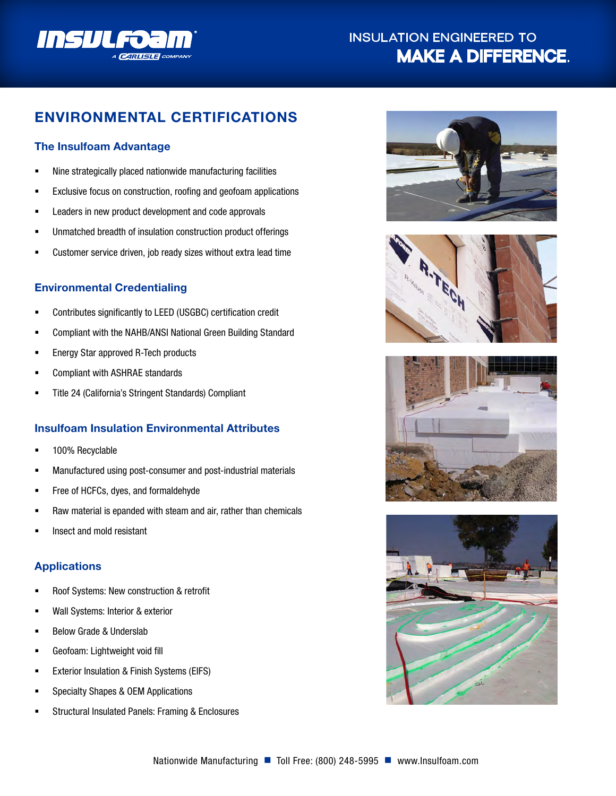

# **INSULATION ENGINEERED TO MAKE A DIFFERENCE.**

# **ENVIRONMENTAL CERTIFICATIONS**

# **The Insulfoam Advantage**

- Nine strategically placed nationwide manufacturing facilities
- Exclusive focus on construction, roofing and geofoam applications
- Leaders in new product development and code approvals
- Unmatched breadth of insulation construction product offerings
- Customer service driven, job ready sizes without extra lead time

## **Environmental Credentialing**

- Contributes significantly to LEED (USGBC) certification credit
- Compliant with the NAHB/ANSI National Green Building Standard
- Energy Star approved R-Tech products
- Compliant with ASHRAE standards
- Title 24 (California's Stringent Standards) Compliant

## **Insulfoam Insulation Environmental Attributes**

- 100% Recyclable
- Manufactured using post-consumer and post-industrial materials
- Free of HCFCs, dyes, and formaldehyde
- Raw material is epanded with steam and air, rather than chemicals
- Insect and mold resistant

## **Applications**

- **Roof Systems: New construction & retrofit**
- Wall Systems: Interior & exterior
- **Below Grade & Underslab**
- Geofoam: Lightweight void fill
- **EXTERIOR INSULATION & Finish Systems (EIFS)**
- Specialty Shapes & OEM Applications
- **EXECUTE:** Structural Insulated Panels: Framing & Enclosures